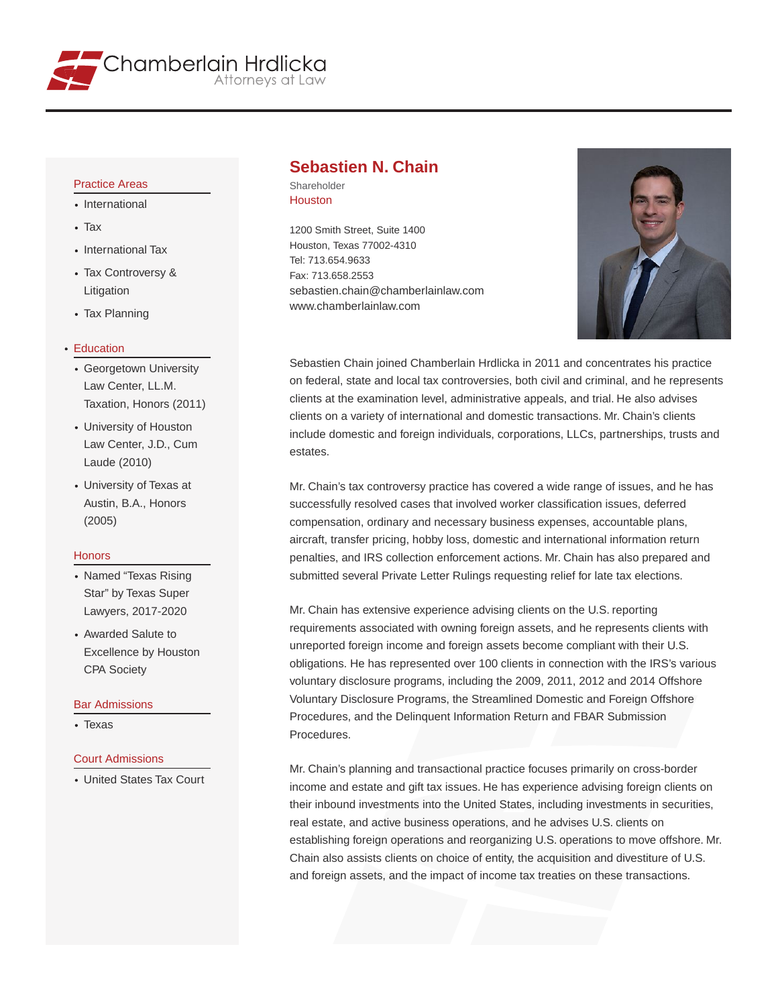

## Practice Areas

- International
- Tax
- International Tax
- Tax Controversy & Litigation
- Tax Planning

#### Education

- Georgetown University Law Center, LL.M. Taxation, Honors (2011)
- University of Houston Law Center, J.D., Cum Laude (2010)
- University of Texas at Austin, B.A., Honors (2005)

#### **Honors**

- Named "Texas Rising Star" by Texas Super Lawyers, 2017-2020
- Awarded Salute to Excellence by Houston CPA Society

#### Bar Admissions

• Texas

#### Court Admissions

United States Tax Court

## **Sebastien N. Chain**

Shareholder Houston

1200 Smith Street, Suite 1400 Houston, Texas 77002-4310 Tel: 713.654.9633 Fax: 713.658.2553 sebastien.chain@chamberlainlaw.com www.chamberlainlaw.com



Sebastien Chain joined Chamberlain Hrdlicka in 2011 and concentrates his practice on federal, state and local tax controversies, both civil and criminal, and he represents clients at the examination level, administrative appeals, and trial. He also advises clients on a variety of international and domestic transactions. Mr. Chain's clients include domestic and foreign individuals, corporations, LLCs, partnerships, trusts and estates.

Mr. Chain's tax controversy practice has covered a wide range of issues, and he has successfully resolved cases that involved worker classification issues, deferred compensation, ordinary and necessary business expenses, accountable plans, aircraft, transfer pricing, hobby loss, domestic and international information return penalties, and IRS collection enforcement actions. Mr. Chain has also prepared and submitted several Private Letter Rulings requesting relief for late tax elections.

Mr. Chain has extensive experience advising clients on the U.S. reporting requirements associated with owning foreign assets, and he represents clients with unreported foreign income and foreign assets become compliant with their U.S. obligations. He has represented over 100 clients in connection with the IRS's various voluntary disclosure programs, including the 2009, 2011, 2012 and 2014 Offshore Voluntary Disclosure Programs, the Streamlined Domestic and Foreign Offshore Procedures, and the Delinquent Information Return and FBAR Submission Procedures.

Mr. Chain's planning and transactional practice focuses primarily on cross-border income and estate and gift tax issues. He has experience advising foreign clients on their inbound investments into the United States, including investments in securities, real estate, and active business operations, and he advises U.S. clients on establishing foreign operations and reorganizing U.S. operations to move offshore. Mr. Chain also assists clients on choice of entity, the acquisition and divestiture of U.S. and foreign assets, and the impact of income tax treaties on these transactions.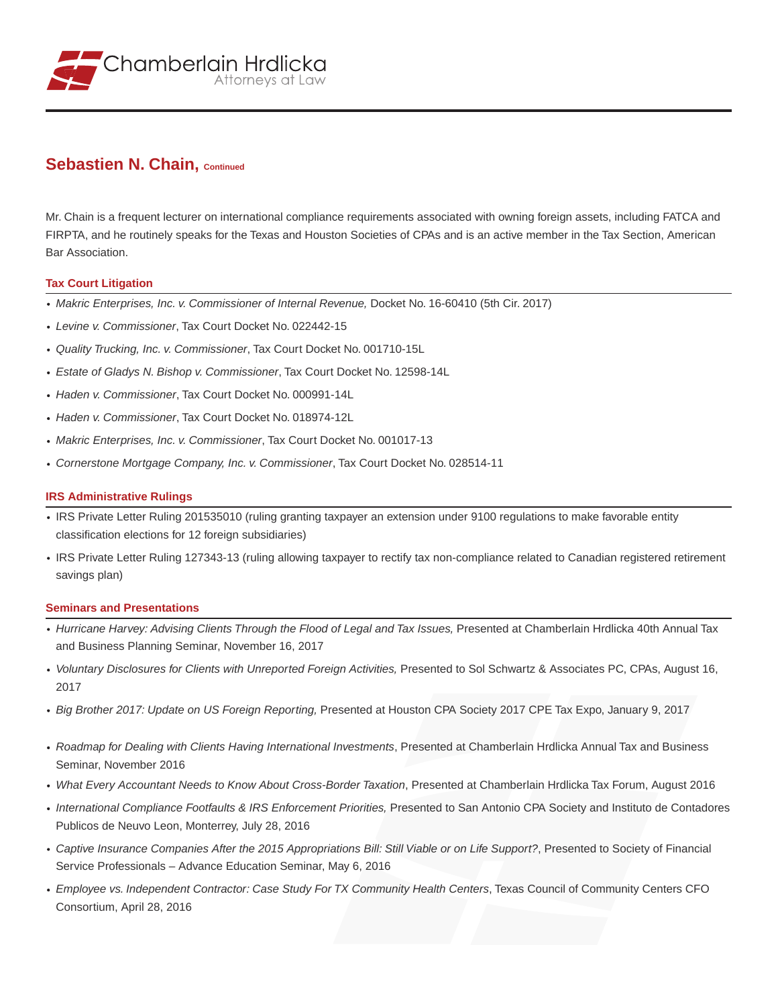

## **Sebastien N. Chain, Continued**

Mr. Chain is a frequent lecturer on international compliance requirements associated with owning foreign assets, including FATCA and FIRPTA, and he routinely speaks for the Texas and Houston Societies of CPAs and is an active member in the Tax Section, American Bar Association.

### **Tax Court Litigation**

- *Makric Enterprises, Inc. v. Commissioner of Internal Revenue,* Docket No. 16-60410 (5th Cir. 2017)
- *Levine v. Commissioner*, Tax Court Docket No. 022442-15
- *Quality Trucking, Inc. v. Commissioner*, Tax Court Docket No. 001710-15L
- *Estate of Gladys N. Bishop v. Commissioner*, Tax Court Docket No. 12598-14L
- *Haden v. Commissioner*, Tax Court Docket No. 000991-14L
- *Haden v. Commissioner*, Tax Court Docket No. 018974-12L
- *Makric Enterprises, Inc. v. Commissioner*, Tax Court Docket No. 001017-13
- *Cornerstone Mortgage Company, Inc. v. Commissioner*, Tax Court Docket No. 028514-11

## **IRS Administrative Rulings**

- IRS Private Letter Ruling 201535010 (ruling granting taxpayer an extension under 9100 regulations to make favorable entity classification elections for 12 foreign subsidiaries)
- IRS Private Letter Ruling 127343-13 (ruling allowing taxpayer to rectify tax non-compliance related to Canadian registered retirement savings plan)

### **Seminars and Presentations**

- *Hurricane Harvey: Advising Clients Through the Flood of Legal and Tax Issues,* Presented at Chamberlain Hrdlicka 40th Annual Tax and Business Planning Seminar, November 16, 2017
- *Voluntary Disclosures for Clients with Unreported Foreign Activities,* Presented to Sol Schwartz & Associates PC, CPAs, August 16, 2017
- *Big Brother 2017: Update on US Foreign Reporting,* Presented at Houston CPA Society 2017 CPE Tax Expo, January 9, 2017
- *Roadmap for Dealing with Clients Having International Investments*, Presented at Chamberlain Hrdlicka Annual Tax and Business Seminar, November 2016
- *What Every Accountant Needs to Know About Cross-Border Taxation*, Presented at Chamberlain Hrdlicka Tax Forum, August 2016
- *International Compliance Footfaults & IRS Enforcement Priorities,* Presented to San Antonio CPA Society and Instituto de Contadores Publicos de Neuvo Leon, Monterrey, July 28, 2016
- *Captive Insurance Companies After the 2015 Appropriations Bill: Still Viable or on Life Support?*, Presented to Society of Financial Service Professionals – Advance Education Seminar, May 6, 2016
- *Employee vs. Independent Contractor: Case Study For TX Community Health Centers*, Texas Council of Community Centers CFO Consortium, April 28, 2016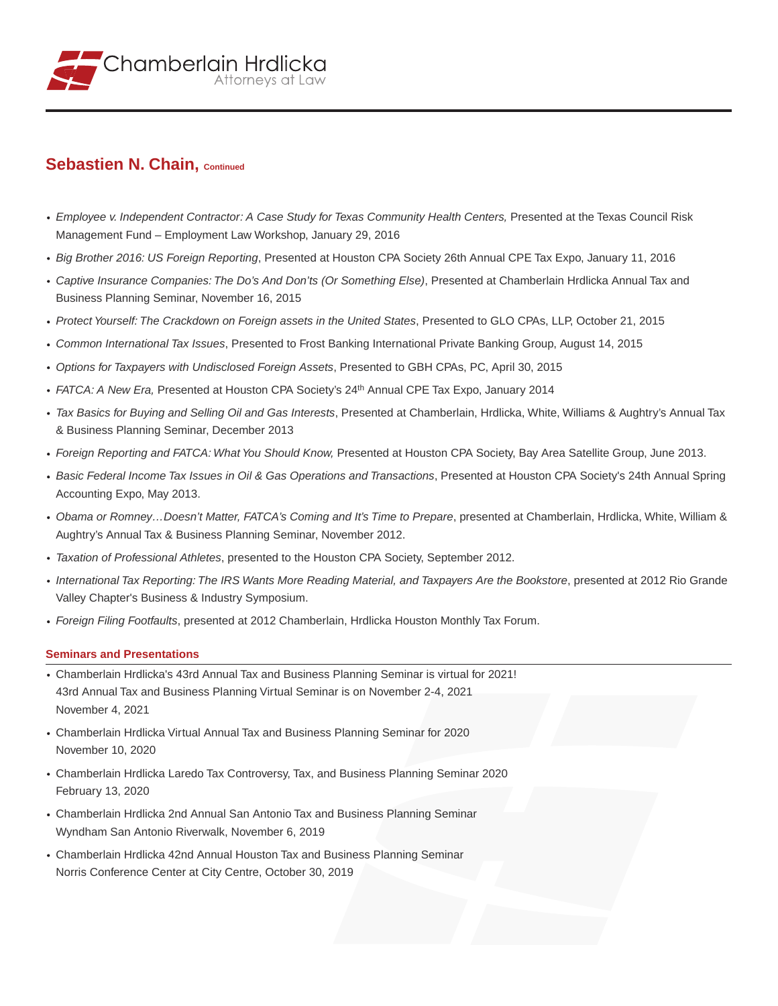

# **Sebastien N. Chain, Continued**

- *Employee v. Independent Contractor: A Case Study for Texas Community Health Centers,* Presented at the Texas Council Risk Management Fund – Employment Law Workshop, January 29, 2016
- *Big Brother 2016: US Foreign Reporting*, Presented at Houston CPA Society 26th Annual CPE Tax Expo, January 11, 2016
- *Captive Insurance Companies: The Do's And Don'ts (Or Something Else)*, Presented at Chamberlain Hrdlicka Annual Tax and Business Planning Seminar, November 16, 2015
- *Protect Yourself: The Crackdown on Foreign assets in the United States*, Presented to GLO CPAs, LLP, October 21, 2015
- *Common International Tax Issues*, Presented to Frost Banking International Private Banking Group, August 14, 2015
- *Options for Taxpayers with Undisclosed Foreign Assets*, Presented to GBH CPAs, PC, April 30, 2015
- *FATCA: A New Era,* Presented at Houston CPA Society's 24th Annual CPE Tax Expo, January 2014
- *Tax Basics for Buying and Selling Oil and Gas Interests*, Presented at Chamberlain, Hrdlicka, White, Williams & Aughtry's Annual Tax & Business Planning Seminar, December 2013
- *Foreign Reporting and FATCA: What You Should Know,* Presented at Houston CPA Society, Bay Area Satellite Group, June 2013.
- *Basic Federal Income Tax Issues in Oil & Gas Operations and Transactions*, Presented at Houston CPA Society's 24th Annual Spring Accounting Expo, May 2013.
- *Obama or Romney…Doesn't Matter, FATCA's Coming and It's Time to Prepare*, presented at Chamberlain, Hrdlicka, White, William & Aughtry's Annual Tax & Business Planning Seminar, November 2012.
- *Taxation of Professional Athletes*, presented to the Houston CPA Society, September 2012.
- *International Tax Reporting: The IRS Wants More Reading Material, and Taxpayers Are the Bookstore*, presented at 2012 Rio Grande Valley Chapter's Business & Industry Symposium.
- *Foreign Filing Footfaults*, presented at 2012 Chamberlain, Hrdlicka Houston Monthly Tax Forum.

### **Seminars and Presentations**

- Chamberlain Hrdlicka's 43rd Annual Tax and Business Planning Seminar is virtual for 2021! 43rd Annual Tax and Business Planning Virtual Seminar is on November 2-4, 2021 November 4, 2021
- Chamberlain Hrdlicka Virtual Annual Tax and Business Planning Seminar for 2020 November 10, 2020
- Chamberlain Hrdlicka Laredo Tax Controversy, Tax, and Business Planning Seminar 2020 February 13, 2020
- Chamberlain Hrdlicka 2nd Annual San Antonio Tax and Business Planning Seminar Wyndham San Antonio Riverwalk, November 6, 2019
- Chamberlain Hrdlicka 42nd Annual Houston Tax and Business Planning Seminar Norris Conference Center at City Centre, October 30, 2019